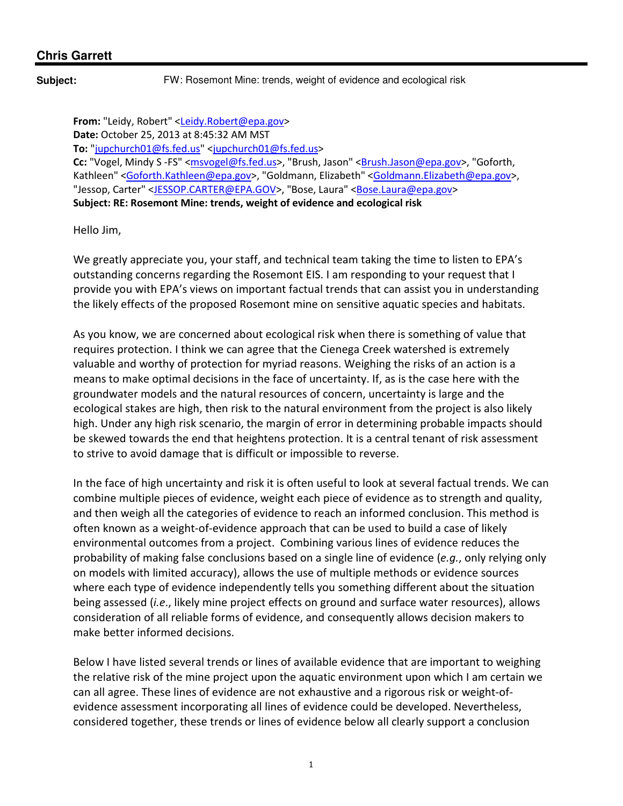**Subject:** FW: Rosemont Mine: trends, weight of evidence and ecological risk

From: "Leidy, Robert" <Leidy.Robert@epa.gov> Date: October 25, 2013 at 8:45:32 AM MST To: "jupchurch01@fs.fed.us" <jupchurch01@fs.fed.us> Cc: "Vogel, Mindy S -FS" <msvogel@fs.fed.us>, "Brush, Jason" <Brush.Jason@epa.gov>, "Goforth, Kathleen" <Goforth.Kathleen@epa.gov>, "Goldmann, Elizabeth" <Goldmann.Elizabeth@epa.gov>, "Jessop, Carter" <JESSOP.CARTER@EPA.GOV>, "Bose, Laura" <Bose.Laura@epa.gov> Subject: RE: Rosemont Mine: trends, weight of evidence and ecological risk

Hello Jim,

We greatly appreciate you, your staff, and technical team taking the time to listen to EPA's outstanding concerns regarding the Rosemont EIS. I am responding to your request that I provide you with EPA's views on important factual trends that can assist you in understanding the likely effects of the proposed Rosemont mine on sensitive aquatic species and habitats.

As you know, we are concerned about ecological risk when there is something of value that requires protection. I think we can agree that the Cienega Creek watershed is extremely valuable and worthy of protection for myriad reasons. Weighing the risks of an action is a means to make optimal decisions in the face of uncertainty. If, as is the case here with the groundwater models and the natural resources of concern, uncertainty is large and the ecological stakes are high, then risk to the natural environment from the project is also likely high. Under any high risk scenario, the margin of error in determining probable impacts should be skewed towards the end that heightens protection. It is a central tenant of risk assessment to strive to avoid damage that is difficult or impossible to reverse.

In the face of high uncertainty and risk it is often useful to look at several factual trends. We can combine multiple pieces of evidence, weight each piece of evidence as to strength and quality, and then weigh all the categories of evidence to reach an informed conclusion. This method is often known as a weight-of-evidence approach that can be used to build a case of likely environmental outcomes from a project. Combining various lines of evidence reduces the probability of making false conclusions based on a single line of evidence (e.g., only relying only on models with limited accuracy), allows the use of multiple methods or evidence sources where each type of evidence independently tells you something different about the situation being assessed *(i.e.,* likely mine project effects on ground and surface water resources), allows consideration of all reliable forms of evidence, and consequently allows decision makers to make better informed decisions.

Below I have listed several trends or lines of available evidence that are important to weighing the relative risk of the mine project upon the aquatic environment upon which I am certain we can all agree. These lines of evidence are not exhaustive and a rigorous risk or weight-ofevidence assessment incorporating all lines of evidence could be developed. Nevertheless, considered together, these trends or lines of evidence below all clearly support a conclusion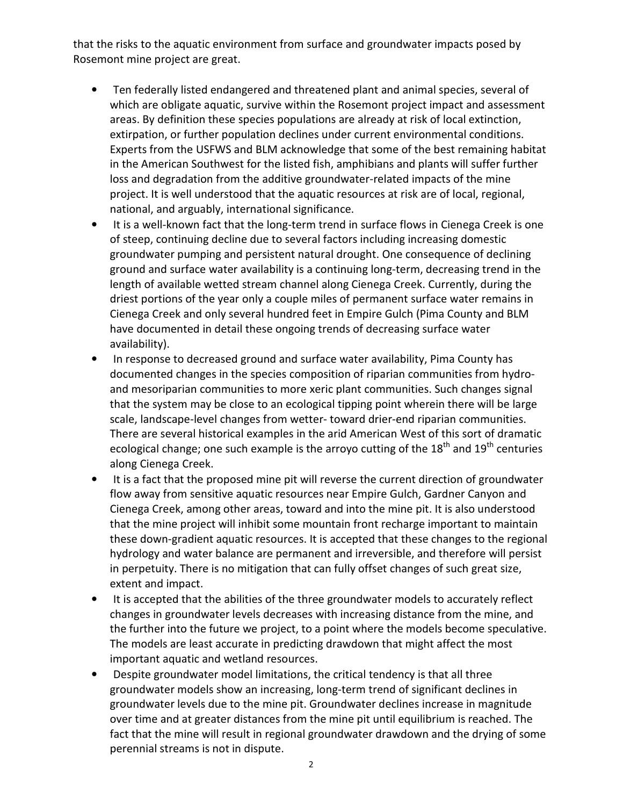that the risks to the aquatic environment from surface and groundwater impacts posed by Rosemont mine project are great.

- Ten federally listed endangered and threatened plant and animal species, several of which are obligate aquatic, survive within the Rosemont project impact and assessment areas. By definition these species populations are already at risk of local extinction, extirpation, or further population declines under current environmental conditions. Experts from the USFWS and BLM acknowledge that some of the best remaining habitat in the American Southwest for the listed fish, amphibians and plants will suffer further loss and degradation from the additive groundwater-related impacts of the mine project. It is well understood that the aquatic resources at risk are of local, regional, national, and arguably, international significance.
- It is a well-known fact that the long-term trend in surface flows in Cienega Creek is one of steep, continuing decline due to several factors including increasing domestic groundwater pumping and persistent natural drought. One consequence of declining ground and surface water availability is a continuing long-term, decreasing trend in the length of available wetted stream channel along Cienega Creek. Currently, during the driest portions of the year only a couple miles of permanent surface water remains in Cienega Creek and only several hundred feet in Empire Gulch (Pima County and BLM have documented in detail these ongoing trends of decreasing surface water availability).
- In response to decreased ground and surface water availability, Pima County has documented changes in the species composition of riparian communities from hydroand mesoriparian communities to more xeric plant communities. Such changes signal that the system may be close to an ecological tipping point wherein there will be large scale, landscape-level changes from wetter- toward drier-end riparian communities. There are several historical examples in the arid American West of this sort of dramatic ecological change; one such example is the arroyo cutting of the  $18<sup>th</sup>$  and  $19<sup>th</sup>$  centuries along Cienega Creek.
- It is a fact that the proposed mine pit will reverse the current direction of groundwater flow away from sensitive aquatic resources near Empire Gulch, Gardner Canyon and Cienega Creek, among other areas, toward and into the mine pit. It is also understood that the mine project will inhibit some mountain front recharge important to maintain these down-gradient aquatic resources. It is accepted that these changes to the regional hydrology and water balance are permanent and irreversible, and therefore will persist in perpetuity. There is no mitigation that can fully offset changes of such great size, extent and impact.
- It is accepted that the abilities of the three groundwater models to accurately reflect changes in groundwater levels decreases with increasing distance from the mine, and the further into the future we project, to a point where the models become speculative. The models are least accurate in predicting drawdown that might affect the most important aquatic and wetland resources.
- Despite groundwater model limitations, the critical tendency is that all three groundwater models show an increasing, long-term trend of significant declines in groundwater levels due to the mine pit. Groundwater declines increase in magnitude over time and at greater distances from the mine pit until equilibrium is reached. The fact that the mine will result in regional groundwater drawdown and the drying of some perennial streams is not in dispute.